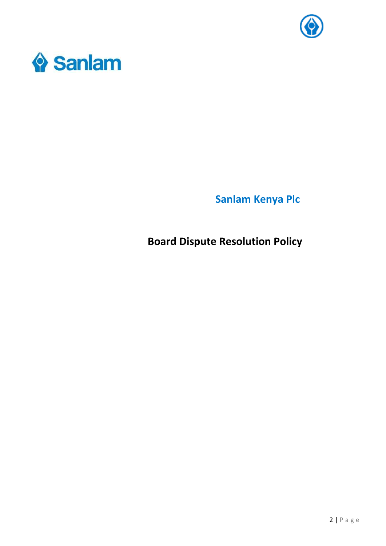



**Sanlam Kenya Plc** 

**Board Dispute Resolution Policy**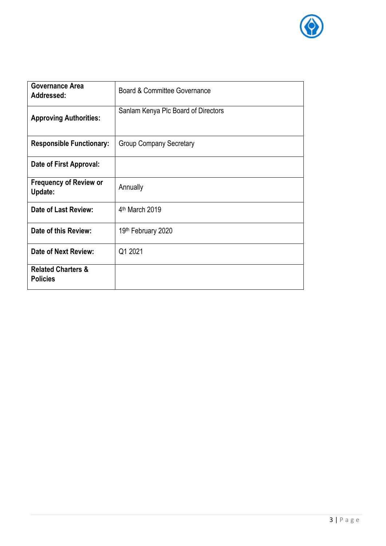

| <b>Governance Area</b><br>Addressed:             | Board & Committee Governance        |
|--------------------------------------------------|-------------------------------------|
| <b>Approving Authorities:</b>                    | Sanlam Kenya Plc Board of Directors |
| <b>Responsible Functionary:</b>                  | <b>Group Company Secretary</b>      |
| Date of First Approval:                          |                                     |
| <b>Frequency of Review or</b><br>Update:         | Annually                            |
| <b>Date of Last Review:</b>                      | 4th March 2019                      |
| Date of this Review:                             | 19th February 2020                  |
| Date of Next Review:                             | Q1 2021                             |
| <b>Related Charters &amp;</b><br><b>Policies</b> |                                     |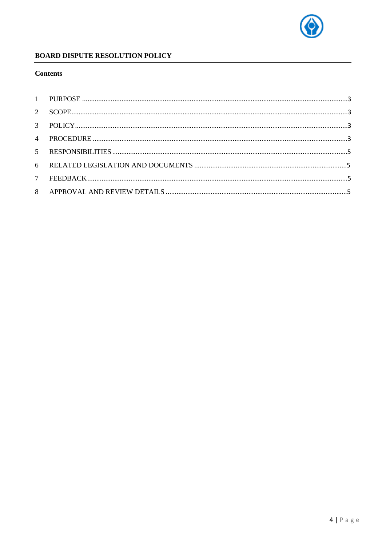

# **BOARD DISPUTE RESOLUTION POLICY**

## **Contents**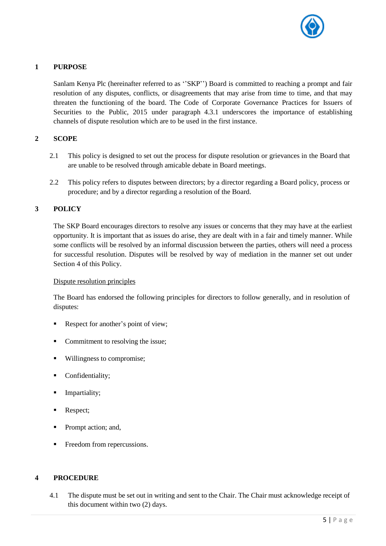

### **1 PURPOSE**

Sanlam Kenya Plc (hereinafter referred to as ''SKP'') Board is committed to reaching a prompt and fair resolution of any disputes, conflicts, or disagreements that may arise from time to time, and that may threaten the functioning of the board. The Code of Corporate Governance Practices for Issuers of Securities to the Public, 2015 under paragraph 4.3.1 underscores the importance of establishing channels of dispute resolution which are to be used in the first instance.

## **2 SCOPE**

- 2.1 This policy is designed to set out the process for dispute resolution or grievances in the Board that are unable to be resolved through amicable debate in Board meetings.
- 2.2 This policy refers to disputes between directors; by a director regarding a Board policy, process or procedure; and by a director regarding a resolution of the Board.

### **3 POLICY**

The SKP Board encourages directors to resolve any issues or concerns that they may have at the earliest opportunity. It is important that as issues do arise, they are dealt with in a fair and timely manner. While some conflicts will be resolved by an informal discussion between the parties, others will need a process for successful resolution. Disputes will be resolved by way of mediation in the manner set out under Section 4 of this Policy.

#### Dispute resolution principles

The Board has endorsed the following principles for directors to follow generally, and in resolution of disputes:

- Respect for another's point of view;
- Commitment to resolving the issue;
- Willingness to compromise;
- **•** Confidentiality;
- Impartiality;
- Respect;
- Prompt action; and,
- **•** Freedom from repercussions.

# **4 PROCEDURE**

4.1 The dispute must be set out in writing and sent to the Chair. The Chair must acknowledge receipt of this document within two (2) days.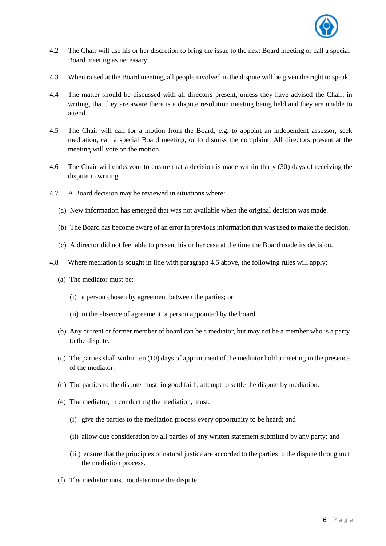

- 4.2 The Chair will use his or her discretion to bring the issue to the next Board meeting or call a special Board meeting as necessary.
- 4.3 When raised at the Board meeting, all people involved in the dispute will be given the right to speak.
- 4.4 The matter should be discussed with all directors present, unless they have advised the Chair, in writing, that they are aware there is a dispute resolution meeting being held and they are unable to attend.
- 4.5 The Chair will call for a motion from the Board, e.g. to appoint an independent assessor, seek mediation, call a special Board meeting, or to dismiss the complaint. All directors present at the meeting will vote on the motion.
- 4.6 The Chair will endeavour to ensure that a decision is made within thirty (30) days of receiving the dispute in writing.
- 4.7 A Board decision may be reviewed in situations where:
	- (a) New information has emerged that was not available when the original decision was made.
	- (b) The Board has become aware of an error in previousinformation that was used to make the decision.
	- (c) A director did not feel able to present his or her case at the time the Board made its decision.
- 4.8 Where mediation is sought in line with paragraph 4.5 above, the following rules will apply:
	- (a) The mediator must be:
		- (i) a person chosen by agreement between the parties; or
		- (ii) in the absence of agreement, a person appointed by the board.
	- (b) Any current or former member of board can be a mediator, but may not be a member who is a party to the dispute.
	- (c) The parties shall within ten (10) days of appointment of the mediator hold a meeting in the presence of the mediator.
	- (d) The parties to the dispute must, in good faith, attempt to settle the dispute by mediation.
	- (e) The mediator, in conducting the mediation, must:
		- (i) give the parties to the mediation process every opportunity to be heard; and
		- (ii) allow due consideration by all parties of any written statement submitted by any party; and
		- (iii) ensure that the principles of natural justice are accorded to the parties to the dispute throughout the mediation process.
	- (f) The mediator must not determine the dispute.